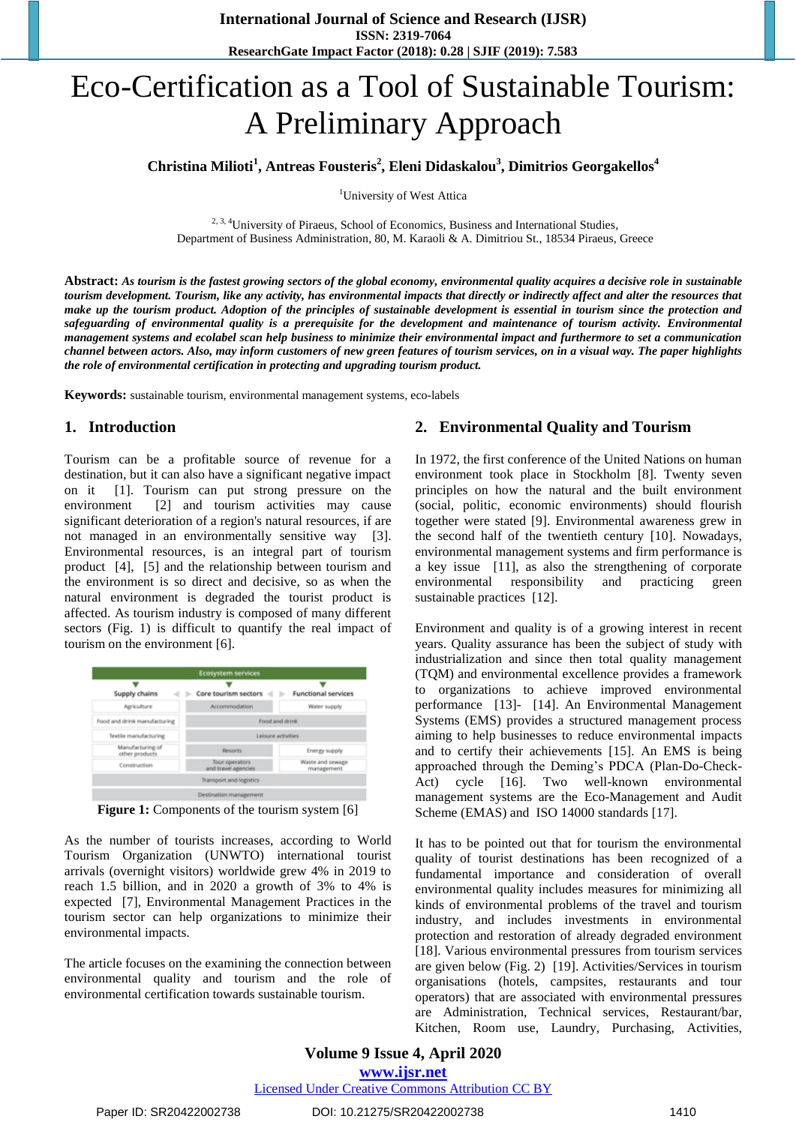# Eco-Certification as a Tool of Sustainable Tourism: A Preliminary Approach

**Christina Milioti<sup>1</sup> , Antreas Fousteris<sup>2</sup> , Eleni Didaskalou<sup>3</sup> , Dimitrios Georgakellos<sup>4</sup>**

<sup>1</sup>University of West Attica

<sup>2, 3, 4</sup>University of Piraeus, School of Economics, Business and International Studies, Department of Business Administration, 80, M. Karaoli & A. Dimitriou St., 18534 Piraeus, Greece

**Abstract:** *As tourism is the fastest growing sectors of the global economy, environmental quality acquires a decisive role in sustainable tourism development. Tourism, like any activity, has environmental impacts that directly or indirectly affect and alter the resources that make up the tourism product. Adoption of the principles of sustainable development is essential in tourism since the protection and safeguarding of environmental quality is a prerequisite for the development and maintenance of tourism activity. Environmental management systems and ecolabel scan help business to minimize their environmental impact and furthermore to set a communication channel between actors. Also, may inform customers of new green features of tourism services, on in a visual way. The paper highlights the role of environmental certification in protecting and upgrading tourism product.*

**Keywords:** sustainable tourism, environmental management systems, eco-labels

# **1. Introduction**

Tourism can be a profitable source of revenue for a destination, but it can also have a significant negative impact on it [1]. Tourism can put strong pressure on the environment [2] and tourism activities may cause significant deterioration of a region's natural resources, if are not managed in an environmentally sensitive way [3]. Environmental resources, is an integral part of tourism product [4], [5] and the relationship between tourism and the environment is so direct and decisive, so as when the natural environment is degraded the tourist product is affected. As tourism industry is composed of many different sectors (Fig. 1) is difficult to quantify the real impact of tourism on the environment [6].

| Supply chains                       | Core tourism sectors                  | <b>Functional services</b>     |
|-------------------------------------|---------------------------------------|--------------------------------|
| Apriculture                         | Accommodation                         | Water supply                   |
| Food and drink manufacturing        | Food and drink                        |                                |
| Textile manufacturing               | Leisure activities                    |                                |
| Manufacturing of<br>other products. | <b>Resorts</b>                        | Energy supply                  |
| Construction                        | Tour operators<br>and travel agencies | Waste and sewage<br>management |
|                                     | Transport and logistics               |                                |

**Figure 1:** Components of the tourism system [6]

As the number of tourists increases, according to World Tourism Organization (UNWTO) international tourist arrivals (overnight visitors) worldwide grew 4% in 2019 to reach 1.5 billion, and in 2020 a growth of 3% to 4% is expected [7], Environmental Management Practices in the tourism sector can help organizations to minimize their environmental impacts.

The article focuses on the examining the connection between environmental quality and tourism and the role of environmental certification towards sustainable tourism.

# **2. Environmental Quality and Tourism**

In 1972, the first conference of the United Nations on human environment took place in Stockholm [8]. Twenty seven principles on how the natural and the built environment (social, politic, economic environments) should flourish together were stated [9]. Environmental awareness grew in the second half of the twentieth century [10]. Nowadays, environmental management systems and firm performance is a key issue [11], as also the strengthening of corporate environmental responsibility and practicing green sustainable practices [12].

Environment and quality is of a growing interest in recent years. Quality assurance has been the subject of study with industrialization and since then total quality management (TQM) and environmental excellence provides a framework to organizations to achieve improved environmental performance [13]- [14]. An Environmental Management Systems (EMS) provides a structured management process aiming to help businesses to reduce environmental impacts and to certify their achievements [15]. An EMS is being approached through the Deming's PDCA (Plan-Do-Check-Act) cycle [16]. Two well-known environmental management systems are the Eco-Management and Audit Scheme (EMAS) and ISO 14000 standards [17].

It has to be pointed out that for tourism the environmental quality of tourist destinations has been recognized of a fundamental importance and consideration of overall environmental quality includes measures for minimizing all kinds of environmental problems of the travel and tourism industry, and includes investments in environmental protection and restoration of already degraded environment [18]. Various environmental pressures from tourism services are given below (Fig. 2) [19]. Activities/Services in tourism organisations (hotels, campsites, restaurants and tour operators) that are associated with environmental pressures are Administration, Technical services, Restaurant/bar, Kitchen, Room use, Laundry, Purchasing, Activities,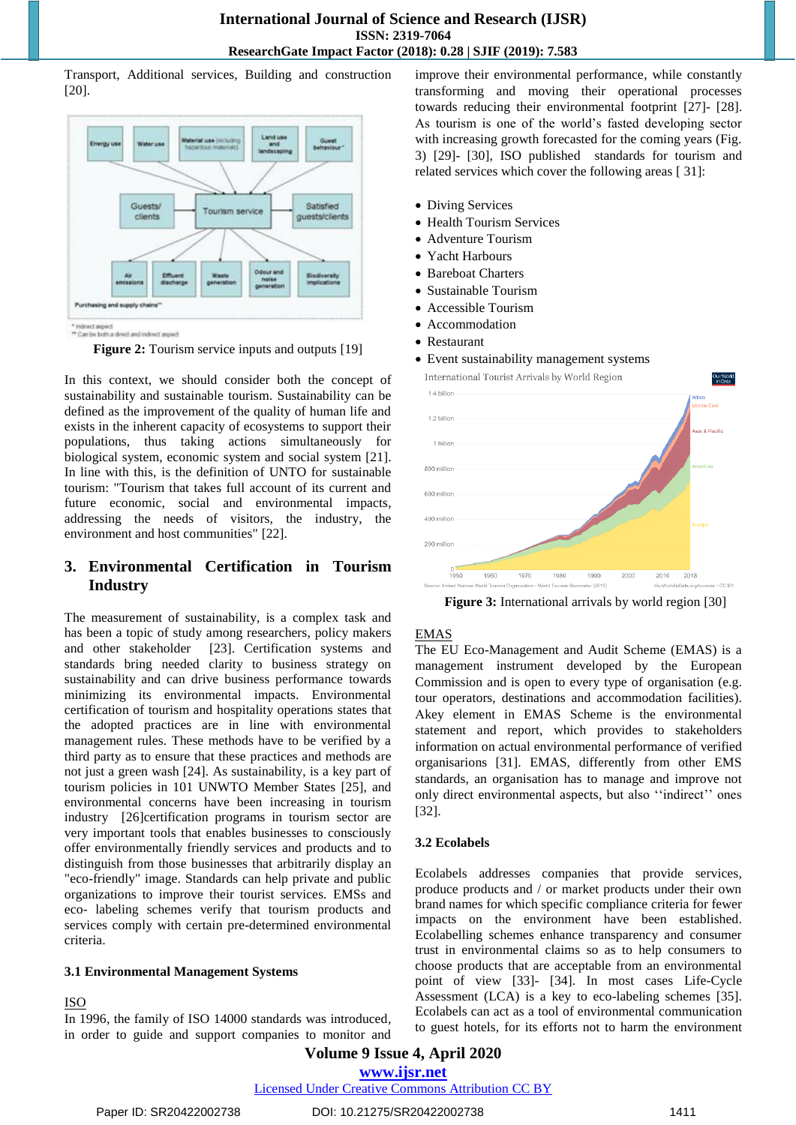Transport, Additional services, Building and construction [20].



\* lednict aspect<br>\*\* Can be both a direct and indirect aspect

**Figure 2:** Tourism service inputs and outputs [19]

In this context, we should consider both the concept of sustainability and sustainable tourism. Sustainability can be defined as the improvement of the quality of human life and exists in the inherent capacity of ecosystems to support their populations, thus taking actions simultaneously for biological system, economic system and social system [21]. In line with this, is the definition of UNTO for sustainable tourism: "Tourism that takes full account of its current and future economic, social and environmental impacts, addressing the needs of visitors, the industry, the environment and host communities" [22].

# **3. Environmental Certification in Tourism Industry**

The measurement of sustainability, is a complex task and has been a topic of study among researchers, policy makers and other stakeholder [23]. Certification systems and standards bring needed clarity to business strategy on sustainability and can drive business performance towards minimizing its environmental impacts. Environmental certification of tourism and hospitality operations states that the adopted practices are in line with environmental management rules. These methods have to be verified by a third party as to ensure that these practices and methods are not just a green wash [24]. As sustainability, is a key part of tourism policies in 101 UNWTO Member States [25], and environmental concerns have been increasing in tourism industry [26]certification programs in tourism sector are very important tools that enables businesses to consciously offer environmentally friendly services and products and to distinguish from those businesses that arbitrarily display an "eco-friendly" image. Standards can help private and public organizations to improve their tourist services. EMSs and eco- labeling schemes verify that tourism products and services comply with certain pre-determined environmental criteria.

#### **3.1 Environmental Management Systems**

#### ISO

In 1996, the family of ISO 14000 standards was introduced, in order to guide and support companies to monitor and improve their environmental performance, while constantly transforming and moving their operational processes towards reducing their environmental footprint [27]- [28]. As tourism is one of the world's fasted developing sector with increasing growth forecasted for the coming years (Fig. 3) [29]- [30], ISO published standards for tourism and related services which cover the following areas [ 31]:

- Diving Services
- Health Tourism Services
- Adventure Tourism
- Yacht Harbours
- Bareboat Charters
- Sustainable Tourism
- Accessible Tourism
- Accommodation
- Restaurant
- Event sustainability management systems



**Figure 3:** International arrivals by world region [30]

#### EMAS

The EU Eco-Management and Audit Scheme (EMAS) is a management instrument developed by the European Commission and is open to every type of organisation (e.g. tour operators, destinations and accommodation facilities). Αkey element in EMAS Scheme is the environmental statement and report, which provides to stakeholders information on actual environmental performance of verified organisarions [31]. EMAS, differently from other EMS standards, an organisation has to manage and improve not only direct environmental aspects, but also "indirect" ones [32].

#### **3.2 Ecolabels**

Ecolabels addresses companies that provide services, produce products and / or market products under their own brand names for which specific compliance criteria for fewer impacts on the environment have been established. Ecolabelling schemes enhance transparency and consumer trust in environmental claims so as to help consumers to choose products that are acceptable from an environmental point of view [33]- [34]. In most cases Life-Cycle Assessment (LCA) is a key to eco-labeling schemes [35]. Ecolabels can act as a tool of environmental communication to guest hotels, for its efforts not to harm the environment

**Volume 9 Issue 4, April 2020 www.ijsr.net**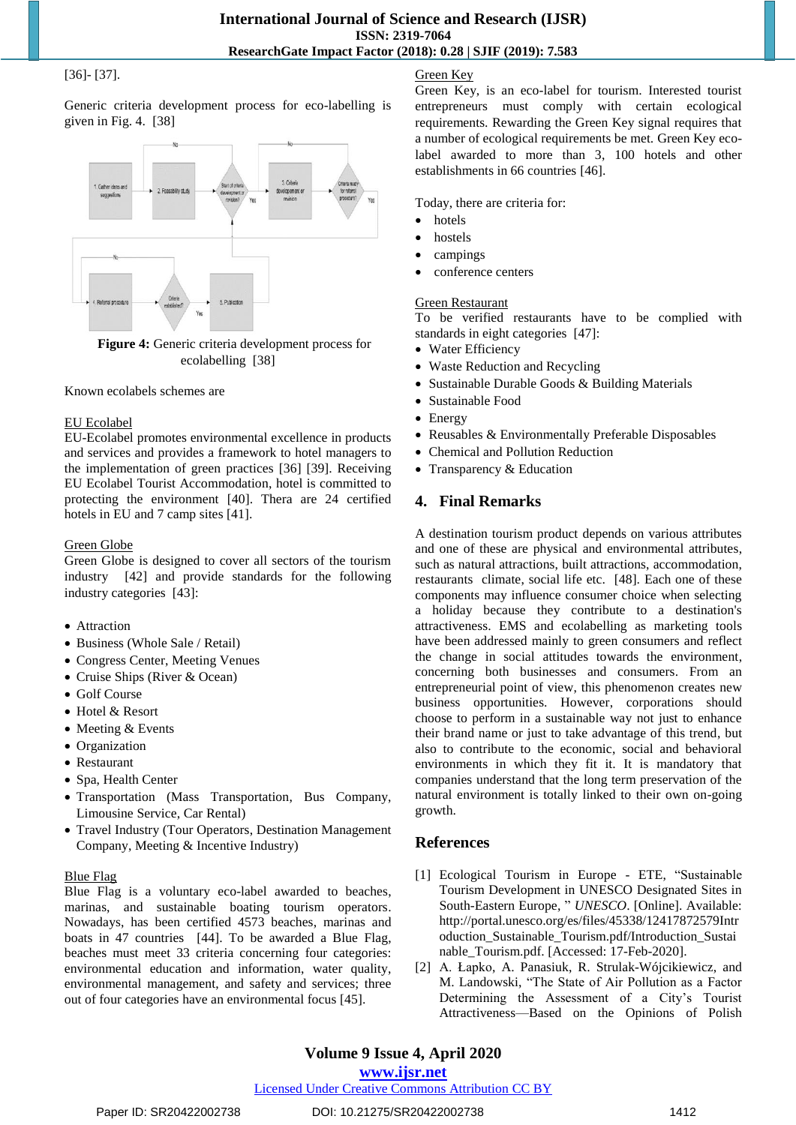#### [36]- [37].

Generic criteria development process for eco-labelling is given in Fig. 4. [38]



**Figure 4:** Generic criteria development process for ecolabelling [38]

#### Known ecolabels schemes are

#### EU Ecolabel

EU-Ecolabel promotes environmental excellence in products and services and provides a framework to hotel managers to the implementation of green practices [36] [39]. Receiving EU Ecolabel Tourist Accommodation, hotel is committed to protecting the environment [40]. Thera are 24 certified hotels in EU and 7 camp sites [41].

#### Green Globe

Green Globe is designed to cover all sectors of the tourism industry [42] and provide standards for the following industry categories [43]:

- Attraction
- Business (Whole Sale / Retail)
- Congress Center, Meeting Venues
- Cruise Ships (River & Ocean)
- Golf Course
- Hotel & Resort
- Meeting & Events
- Organization
- Restaurant
- Spa, Health Center
- Transportation (Mass Transportation, Bus Company, Limousine Service, Car Rental)
- Travel Industry (Tour Operators, Destination Management Company, Meeting & Incentive Industry)

#### Blue Flag

Blue Flag is a voluntary eco-label awarded to beaches, marinas, and sustainable boating tourism operators. Nowadays, has been certified 4573 beaches, marinas and boats in 47 countries [44]. To be awarded a Blue Flag, beaches must meet 33 criteria concerning four categories: environmental education and information, water quality, environmental management, and safety and services; three out of four categories have an environmental focus [45].

#### Green Key

Green Key, is an eco-label for tourism. Interested tourist entrepreneurs must comply with certain ecological requirements. Rewarding the Green Key signal requires that a number of ecological requirements be met. Green Key ecolabel awarded to more than 3, 100 hotels and other establishments in 66 countries [46].

Today, there are criteria for:

- hotels
- hostels
- campings
- conference centers

#### Green Restaurant

To be verified restaurants have to be complied with standards in eight categories [47]:

- Water Efficiency
- Waste Reduction and Recycling
- Sustainable Durable Goods & Building Materials
- Sustainable Food
- Energy
- Reusables & Environmentally Preferable Disposables
- Chemical and Pollution Reduction
- Transparency & Education

# **4. Final Remarks**

A destination tourism product depends on various attributes and one of these are physical and environmental attributes, such as natural attractions, built attractions, accommodation, restaurants climate, social life etc. [48]. Each one of these components may influence consumer choice when selecting a holiday because they contribute to a destination's attractiveness. EMS and ecolabelling as marketing tools have been addressed mainly to green consumers and reflect the change in social attitudes towards the environment, concerning both businesses and consumers. From an entrepreneurial point of view, this phenomenon creates new business opportunities. However, corporations should choose to perform in a sustainable way not just to enhance their brand name or just to take advantage of this trend, but also to contribute to the economic, social and behavioral environments in which they fit it. It is mandatory that companies understand that the long term preservation of the natural environment is totally linked to their own on-going growth.

## **References**

- [1] Ecological Tourism in Europe ETE, "Sustainable Tourism Development in UNESCO Designated Sites in South-Eastern Europe, " *UNESCO*. [Online]. Available: http://portal.unesco.org/es/files/45338/12417872579Intr oduction\_Sustainable\_Tourism.pdf/Introduction\_Sustai nable\_Tourism.pdf. [Accessed: 17-Feb-2020].
- [2] A. Łapko, A. Panasiuk, R. Strulak-Wójcikiewicz, and M. Landowski, "The State of Air Pollution as a Factor Determining the Assessment of a City's Tourist Attractiveness—Based on the Opinions of Polish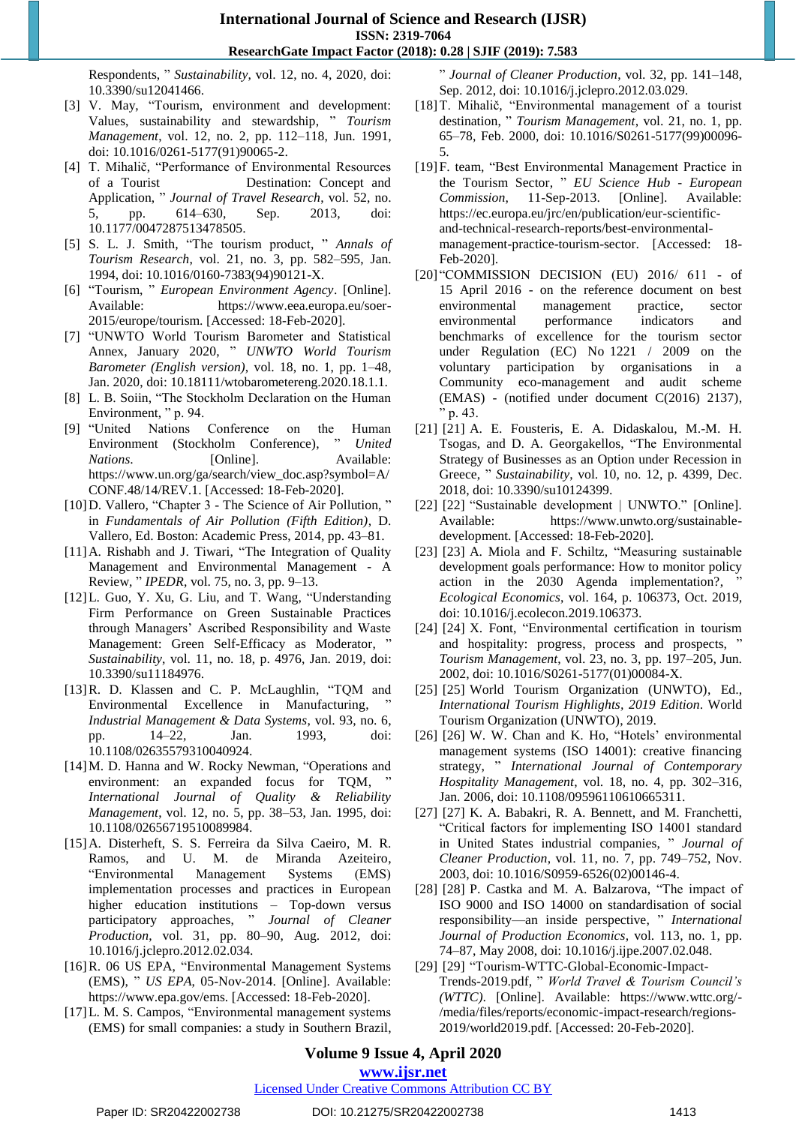Respondents, " Sustainability, vol. 12, no. 4, 2020, doi: 10.3390/su12041466.

- [3] V. May, "Tourism, environment and development: Values, sustainability and stewardship, " *Tourism Management*, vol. 12, no. 2, pp. 112–118, Jun. 1991, doi: 10.1016/0261-5177(91)90065-2.
- [4] T. Mihalič, "Performance of Environmental Resources of a Tourist Destination: Concept and Application, " *Journal of Travel Research*, vol. 52, no. 5, pp. 614–630, Sep. 2013, doi: 10.1177/0047287513478505.
- [5] S. L. J. Smith, "The tourism product, " *Annals of Tourism Research*, vol. 21, no. 3, pp. 582–595, Jan. 1994, doi: 10.1016/0160-7383(94)90121-X.
- [6] ―Tourism, ‖ *European Environment Agency*. [Online]. Available: https://www.eea.europa.eu/soer-2015/europe/tourism. [Accessed: 18-Feb-2020].
- [7] ―UNWTO World Tourism Barometer and Statistical Annex, January 2020, " *UNWTO World Tourism Barometer (English version)*, vol. 18, no. 1, pp. 1–48, Jan. 2020, doi: 10.18111/wtobarometereng.2020.18.1.1.
- [8] L. B. Soiin, "The Stockholm Declaration on the Human Environment, "p. 94.
- [9] "United Nations Conference on the Human Environment (Stockholm Conference), " United *Nations*. [Online]. Available: https://www.un.org/ga/search/view\_doc.asp?symbol=A/ CONF.48/14/REV.1. [Accessed: 18-Feb-2020].
- [10] D. Vallero, "Chapter 3 The Science of Air Pollution," in *Fundamentals of Air Pollution (Fifth Edition)*, D. Vallero, Ed. Boston: Academic Press, 2014, pp. 43–81.
- $[11]$ A. Rishabh and J. Tiwari, "The Integration of Quality Management and Environmental Management - A Review, ‖ *IPEDR*, vol. 75, no. 3, pp. 9–13.
- [12] L. Guo, Y. Xu, G. Liu, and T. Wang, "Understanding Firm Performance on Green Sustainable Practices through Managers' Ascribed Responsibility and Waste Management: Green Self-Efficacy as Moderator, " *Sustainability*, vol. 11, no. 18, p. 4976, Jan. 2019, doi: 10.3390/su11184976.
- [13] R. D. Klassen and C. P. McLaughlin, "TQM and Environmental Excellence in Manufacturing, *Industrial Management & Data Systems*, vol. 93, no. 6, pp. 14–22, Jan. 1993, doi: 10.1108/02635579310040924.
- [14] M. D. Hanna and W. Rocky Newman, "Operations and environment: an expanded focus for TQM, *International Journal of Quality & Reliability Management*, vol. 12, no. 5, pp. 38–53, Jan. 1995, doi: 10.1108/02656719510089984.
- [15]A. Disterheft, S. S. Ferreira da Silva Caeiro, M. R. Ramos, and U. M. de Miranda Azeiteiro, ―Environmental Management Systems (EMS) implementation processes and practices in European higher education institutions – Top-down versus participatory approaches, " *Journal of Cleaner Production*, vol. 31, pp. 80–90, Aug. 2012, doi: 10.1016/j.jclepro.2012.02.034.
- [16] R. 06 US EPA, "Environmental Management Systems (EMS), " *US EPA*, 05-Nov-2014. [Online]. Available: https://www.epa.gov/ems. [Accessed: 18-Feb-2020].
- [17] L. M. S. Campos, "Environmental management systems (EMS) for small companies: a study in Southern Brazil,

‖ *Journal of Cleaner Production*, vol. 32, pp. 141–148, Sep. 2012, doi: 10.1016/j.jclepro.2012.03.029.

- [18] T. Mihalič, "Environmental management of a tourist destination, " *Tourism Management*, vol. 21, no. 1, pp. 65–78, Feb. 2000, doi: 10.1016/S0261-5177(99)00096- 5.
- [19] F. team, "Best Environmental Management Practice in the Tourism Sector, " EU Science Hub - European *Commission*, 11-Sep-2013. [Online]. Available: https://ec.europa.eu/jrc/en/publication/eur-scientificand-technical-research-reports/best-environmentalmanagement-practice-tourism-sector. [Accessed: 18- Feb-2020].
- [20] "COMMISSION DECISION (EU) 2016/ 611 of 15 April 2016 - on the reference document on best environmental management practice, sector environmental performance indicators and benchmarks of excellence for the tourism sector under Regulation (EC) No 1221 / 2009 on the voluntary participation by organisations in a Community eco-management and audit scheme (EMAS) - (notified under document C(2016) 2137),  $"$  p. 43.
- [21] [21] A. E. Fousteris, E. A. Didaskalou, M.-M. H. Tsogas, and D. A. Georgakellos, "The Environmental Strategy of Businesses as an Option under Recession in Greece, " *Sustainability*, vol. 10, no. 12, p. 4399, Dec. 2018, doi: 10.3390/su10124399.
- [22] [22] "Sustainable development | UNWTO." [Online]. Available: https://www.unwto.org/sustainabledevelopment. [Accessed: 18-Feb-2020].
- [23] [23] A. Miola and F. Schiltz, "Measuring sustainable development goals performance: How to monitor policy action in the 2030 Agenda implementation?, *Ecological Economics*, vol. 164, p. 106373, Oct. 2019, doi: 10.1016/j.ecolecon.2019.106373.
- [24] [24] X. Font, "Environmental certification in tourism and hospitality: progress, process and prospects, " *Tourism Management*, vol. 23, no. 3, pp. 197–205, Jun. 2002, doi: 10.1016/S0261-5177(01)00084-X.
- [25] [25] World Tourism Organization (UNWTO), Ed., *International Tourism Highlights, 2019 Edition*. World Tourism Organization (UNWTO), 2019.
- [26] [26] W. W. Chan and K. Ho, "Hotels' environmental management systems (ISO 14001): creative financing strategy, " *International Journal of Contemporary Hospitality Management*, vol. 18, no. 4, pp. 302–316, Jan. 2006, doi: 10.1108/09596110610665311.
- [27] [27] K. A. Babakri, R. A. Bennett, and M. Franchetti, ―Critical factors for implementing ISO 14001 standard in United States industrial companies, " *Journal of Cleaner Production*, vol. 11, no. 7, pp. 749–752, Nov. 2003, doi: 10.1016/S0959-6526(02)00146-4.
- $[28]$   $[28]$  P. Castka and M. A. Balzarova, "The impact of ISO 9000 and ISO 14000 on standardisation of social responsibility—an inside perspective, " International *Journal of Production Economics*, vol. 113, no. 1, pp. 74–87, May 2008, doi: 10.1016/j.ijpe.2007.02.048.
- [29] [29] "Tourism-WTTC-Global-Economic-Impact-Trends-2019.pdf, ‖ *World Travel & Tourism Council's (WTTC)*. [Online]. Available: https://www.wttc.org/- /media/files/reports/economic-impact-research/regions-2019/world2019.pdf. [Accessed: 20-Feb-2020].

# **Volume 9 Issue 4, April 2020**

# **www.ijsr.net**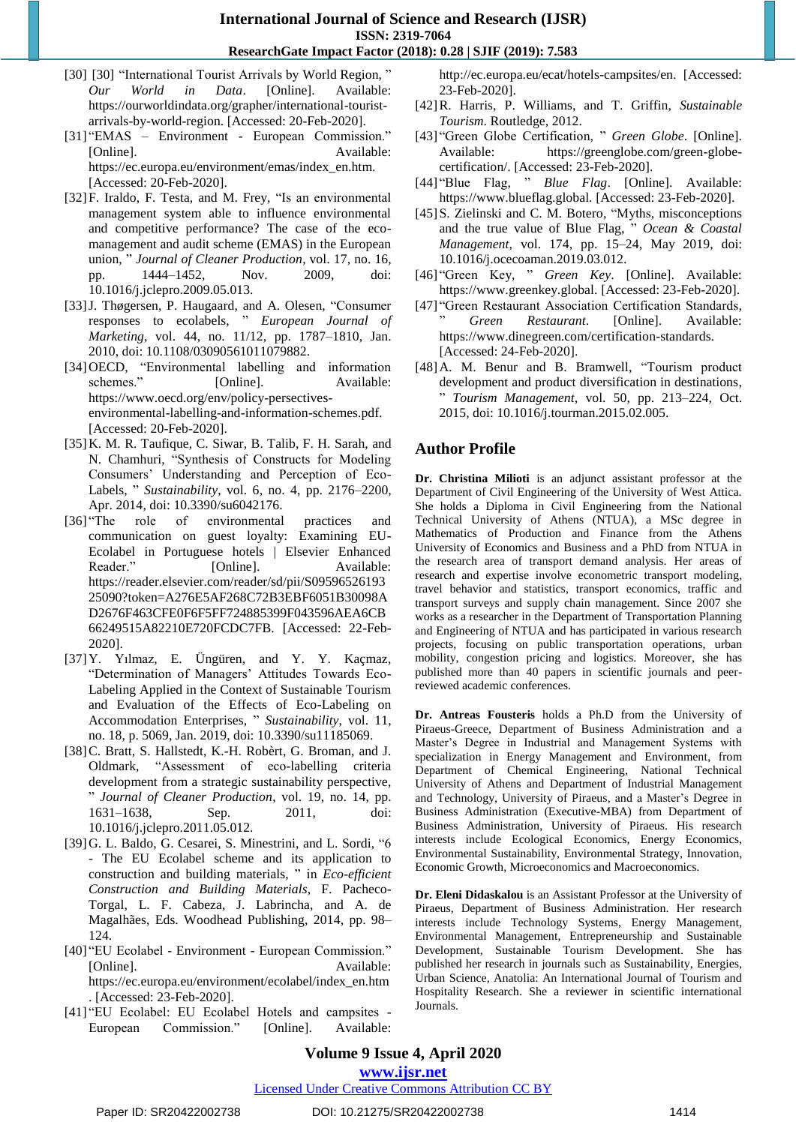- [30] [30] "International Tourist Arrivals by World Region," *Our World in Data*. [Online]. Available: https://ourworldindata.org/grapher/international-touristarrivals-by-world-region. [Accessed: 20-Feb-2020].
- [31] "EMAS Environment European Commission." [Online]. Available: https://ec.europa.eu/environment/emas/index\_en.htm. [Accessed: 20-Feb-2020].
- [32] F. Iraldo, F. Testa, and M. Frey, "Is an environmental management system able to influence environmental and competitive performance? The case of the ecomanagement and audit scheme (EMAS) in the European union, "*Journal of Cleaner Production*, vol. 17, no. 16, pp. 1444–1452, Nov. 2009, doi: 10.1016/j.jclepro.2009.05.013.
- [33] J. Thøgersen, P. Haugaard, and A. Olesen, "Consumer responses to ecolabels, " *European Journal of Marketing*, vol. 44, no. 11/12, pp. 1787–1810, Jan. 2010, doi: 10.1108/03090561011079882.
- [34] OECD, "Environmental labelling and information schemes." [Online]. Available: https://www.oecd.org/env/policy-persectivesenvironmental-labelling-and-information-schemes.pdf. [Accessed: 20-Feb-2020].
- [35]K. M. R. Taufique, C. Siwar, B. Talib, F. H. Sarah, and N. Chamhuri, "Synthesis of Constructs for Modeling Consumers' Understanding and Perception of Eco-Labels, " *Sustainability*, vol. 6, no. 4, pp. 2176–2200, Apr. 2014, doi: 10.3390/su6042176.
- [36] "The role of environmental practices and communication on guest loyalty: Examining EU-Ecolabel in Portuguese hotels | Elsevier Enhanced Reader." [Online]. Available: https://reader.elsevier.com/reader/sd/pii/S09596526193 25090?token=A276E5AF268C72B3EBF6051B30098A D2676F463CFE0F6F5FF724885399F043596AEA6CB 66249515A82210E720FCDC7FB. [Accessed: 22-Feb-2020].
- [37]Y. Yılmaz, E. Üngüren, and Y. Y. Kaçmaz, ―Determination of Managers' Attitudes Towards Eco-Labeling Applied in the Context of Sustainable Tourism and Evaluation of the Effects of Eco-Labeling on Accommodation Enterprises, " Sustainability, vol. 11, no. 18, p. 5069, Jan. 2019, doi: 10.3390/su11185069.
- [38] C. Bratt, S. Hallstedt, K.-H. Robèrt, G. Broman, and J. Oldmark, "Assessment of eco-labelling criteria development from a strategic sustainability perspective, ‖ *Journal of Cleaner Production*, vol. 19, no. 14, pp. 1631–1638, Sep. 2011, doi: 10.1016/j.jclepro.2011.05.012.
- [39] G. L. Baldo, G. Cesarei, S. Minestrini, and L. Sordi, "6 - The EU Ecolabel scheme and its application to construction and building materials, " in *Eco-efficient Construction and Building Materials*, F. Pacheco-Torgal, L. F. Cabeza, J. Labrincha, and A. de Magalhães, Eds. Woodhead Publishing, 2014, pp. 98– 124.
- [40] "EU Ecolabel Environment European Commission." [Online]. Available: https://ec.europa.eu/environment/ecolabel/index\_en.htm . [Accessed: 23-Feb-2020].
- [41] "EU Ecolabel: EU Ecolabel Hotels and campsites -European Commission." [Online]. Available:

http://ec.europa.eu/ecat/hotels-campsites/en. [Accessed: 23-Feb-2020].

- [42]R. Harris, P. Williams, and T. Griffin, *Sustainable Tourism*. Routledge, 2012.
- [43] "Green Globe Certification, " Green Globe. [Online]. Available: https://greenglobe.com/green-globecertification/. [Accessed: 23-Feb-2020].
- [44] "Blue Flag, " Blue Flag. [Online]. Available: https://www.blueflag.global. [Accessed: 23-Feb-2020].
- [45]S. Zielinski and C. M. Botero, "Myths, misconceptions" and the true value of Blue Flag, " Ocean & Coastal *Management*, vol. 174, pp. 15–24, May 2019, doi: 10.1016/j.ocecoaman.2019.03.012.
- [46] "Green Key, " Green Key. [Online]. Available: https://www.greenkey.global. [Accessed: 23-Feb-2020].
- [47] "Green Restaurant Association Certification Standards, ‖ *Green Restaurant*. [Online]. Available: https://www.dinegreen.com/certification-standards. [Accessed: 24-Feb-2020].
- [48] A. M. Benur and B. Bramwell, "Tourism product development and product diversification in destinations, ‖ *Tourism Management*, vol. 50, pp. 213–224, Oct. 2015, doi: 10.1016/j.tourman.2015.02.005.

# **Author Profile**

**Dr. Christina Milioti** is an adjunct assistant professor at the Department of Civil Engineering of the University of West Attica. She holds a Diploma in Civil Engineering from the National Technical University of Athens (NTUA), a MSc degree in Mathematics of Production and Finance from the Athens University of Economics and Business and a PhD from NTUA in the research area of transport demand analysis. Her areas of research and expertise involve econometric transport modeling, travel behavior and statistics, transport economics, traffic and transport surveys and supply chain management. Since 2007 she works as a researcher in the Department of Transportation Planning and Engineering of NTUA and has participated in various research projects, focusing on public transportation operations, urban mobility, congestion pricing and logistics. Moreover, she has published more than 40 papers in scientific journals and peerreviewed academic conferences.

**Dr. Antreas Fousteris** holds a Ph.D from the University of Piraeus-Greece, Department of Business Administration and a Master's Degree in Industrial and Management Systems with specialization in Energy Management and Environment, from Department of Chemical Engineering, National Technical University of Athens and Department of Industrial Management and Technology, University of Piraeus, and a Master's Degree in Business Administration (Executive-MBA) from Department of Business Administration, University of Piraeus. His research interests include Ecological Economics, Energy Economics, Environmental Sustainability, Environmental Strategy, Innovation, Economic Growth, Microeconomics and Macroeconomics.

**Dr. Eleni Didaskalou** is an Assistant Professor at the University of Piraeus, Department of Business Administration. Her research interests include Technology Systems, Energy Management, Environmental Management, Entrepreneurship and Sustainable Development, Sustainable Tourism Development. She has published her research in journals such as Sustainability, Energies, Urban Science, Anatolia: An International Journal of Tourism and Hospitality Research. She a reviewer in scientific international Journals.

# **Volume 9 Issue 4, April 2020**

**www.ijsr.net**